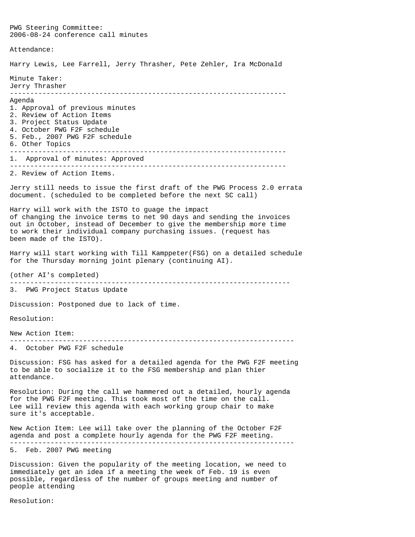PWG Steering Committee: 2006-08-24 conference call minutes Attendance: Harry Lewis, Lee Farrell, Jerry Thrasher, Pete Zehler, Ira McDonald Minute Taker: Jerry Thrasher -------------------------------------------------------------------- Agenda 1. Approval of previous minutes 2. Review of Action Items 3. Project Status Update 4. October PWG F2F schedule 5. Feb., 2007 PWG F2F schedule 6. Other Topics -------------------------------------------------------------------- 1. Approval of minutes: Approved -------------------------------------------------------------------- 2. Review of Action Items. Jerry still needs to issue the first draft of the PWG Process 2.0 errata document. (scheduled to be completed before the next SC call) Harry will work with the ISTO to guage the impact of changing the invoice terms to net 90 days and sending the invoices out in October, instead of December to give the membership more time to work their individual company purchasing issues. (request has been made of the ISTO). Harry will start working with Till Kamppeter(FSG) on a detailed schedule for the Thursday morning joint plenary (continuing AI). (other AI's completed) --------------------------------------------------------------------- 3. PWG Project Status Update Discussion: Postponed due to lack of time. Resolution: New Action Item: ---------------------------------------------------------------------- 4. October PWG F2F schedule Discussion: FSG has asked for a detailed agenda for the PWG F2F meeting to be able to socialize it to the FSG membership and plan thier attendance. Resolution: During the call we hammered out a detailed, hourly agenda for the PWG F2F meeting. This took most of the time on the call. Lee will review this agenda with each working group chair to make sure it's acceptable. New Action Item: Lee will take over the planning of the October F2F agenda and post a complete hourly agenda for the PWG F2F meeting. ---------------------------------------------------------------------- 5. Feb. 2007 PWG meeting Discussion: Given the popularity of the meeting location, we need to immediately get an idea if a meeting the week of Feb. 19 is even possible, regardless of the number of groups meeting and number of

Resolution:

people attending